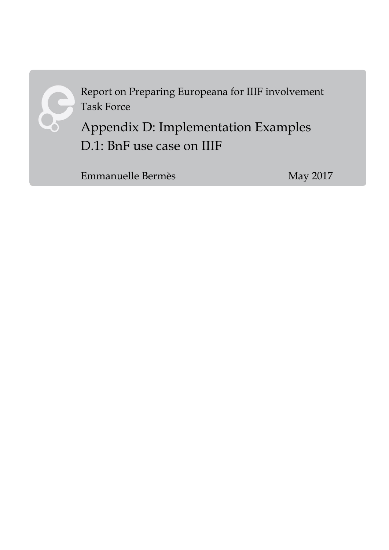

Report on Preparing Europeana for IIIF involvement Task Force

Appendix D: Implementation Examples D.1: BnF use case on IIIF

Emmanuelle Bermès May 2017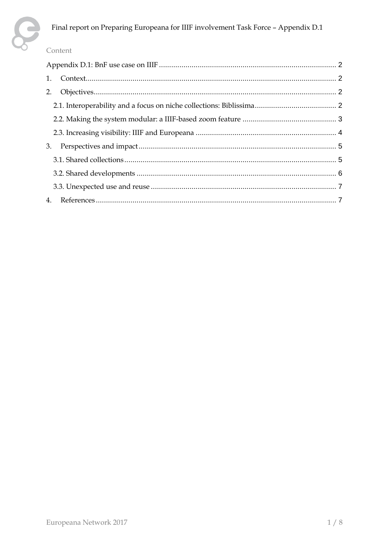

#### Content

| 1. |  |  |  |
|----|--|--|--|
| 2. |  |  |  |
|    |  |  |  |
|    |  |  |  |
|    |  |  |  |
| 3. |  |  |  |
|    |  |  |  |
|    |  |  |  |
|    |  |  |  |
|    |  |  |  |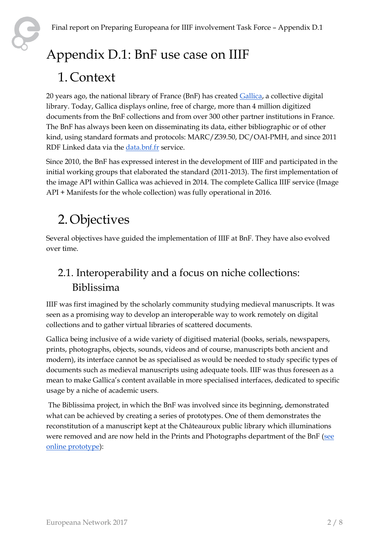# <span id="page-2-0"></span>Appendix D.1: BnF use case on IIIF

## <span id="page-2-1"></span>1. Context

20 years ago, the national library of France (BnF) has created [Gallica,](http://gallica.bnf.fr/) a collective digital library. Today, Gallica displays online, free of charge, more than 4 million digitized documents from the BnF collections and from over 300 other partner institutions in France. The BnF has always been keen on disseminating its data, either bibliographic or of other kind, using standard formats and protocols: MARC/Z39.50, DC/OAI-PMH, and since 2011 RDF Linked data via the [data.bnf.fr](http://data.bnf.fr/) service.

Since 2010, the BnF has expressed interest in the development of IIIF and participated in the initial working groups that elaborated the standard (2011-2013). The first implementation of the image API within Gallica was achieved in 2014. The complete Gallica IIIF service (Image API + Manifests for the whole collection) was fully operational in 2016.

## <span id="page-2-2"></span>2.Objectives

Several objectives have guided the implementation of IIIF at BnF. They have also evolved over time.

## <span id="page-2-3"></span>2.1. Interoperability and a focus on niche collections: Biblissima

IIIF was first imagined by the scholarly community studying medieval manuscripts. It was seen as a promising way to develop an interoperable way to work remotely on digital collections and to gather virtual libraries of scattered documents.

Gallica being inclusive of a wide variety of digitised material (books, serials, newspapers, prints, photographs, objects, sounds, videos and of course, manuscripts both ancient and modern), its interface cannot be as specialised as would be needed to study specific types of documents such as medieval manuscripts using adequate tools. IIIF was thus foreseen as a mean to make Gallica's content available in more specialised interfaces, dedicated to specific usage by a niche of academic users.

The Biblissima project, in which the BnF was involved since its beginning, demonstrated what can be achieved by creating a series of prototypes. One of them demonstrates the reconstitution of a manuscript kept at the Châteauroux public library which illuminations were removed and are now held in the Prints and Photographs department of the BnF (see [online prototype\)](http://demos.biblissima-condorcet.fr/chateauroux/osd-demo/):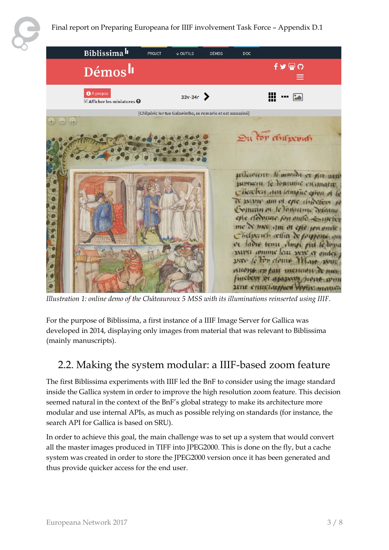

*Illustration 1: online demo of the Châteauroux 5 MSS with its illuminations reinserted using IIIF.*

For the purpose of Biblissima, a first instance of a IIIF Image Server for Gallica was developed in 2014, displaying only images from material that was relevant to Biblissima (mainly manuscripts).

### <span id="page-3-0"></span>2.2. Making the system modular: a IIIF-based zoom feature

The first Biblissima experiments with IIIF led the BnF to consider using the image standard inside the Gallica system in order to improve the high resolution zoom feature. This decision seemed natural in the context of the BnF's global strategy to make its architecture more modular and use internal APIs, as much as possible relying on standards (for instance, the search API for Gallica is based on SRU).

In order to achieve this goal, the main challenge was to set up a system that would convert all the master images produced in TIFF into JPEG2000. This is done on the fly, but a cache system was created in order to store the JPEG2000 version once it has been generated and thus provide quicker access for the end user.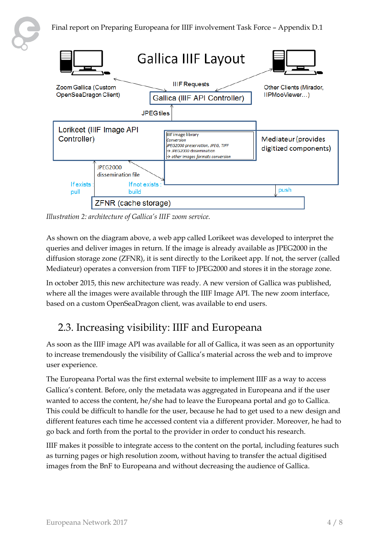



*Illustration 2: architecture of Gallica's IIIF zoom service.*

As shown on the diagram above, a web app called Lorikeet was developed to interpret the queries and deliver images in return. If the image is already available as JPEG2000 in the diffusion storage zone (ZFNR), it is sent directly to the Lorikeet app. If not, the server (called Mediateur) operates a conversion from TIFF to JPEG2000 and stores it in the storage zone.

In october 2015, this new architecture was ready. A new version of Gallica was published, where all the images were available through the IIIF Image API. The new zoom interface, based on a custom OpenSeaDragon client, was available to end users.

### <span id="page-4-0"></span>2.3. Increasing visibility: IIIF and Europeana

As soon as the IIIF image API was available for all of Gallica, it was seen as an opportunity to increase tremendously the visibility of Gallica's material across the web and to improve user experience.

The Europeana Portal was the first external website to implement IIIF as a way to access Gallica's content. Before, only the metadata was aggregated in Europeana and if the user wanted to access the content, he/she had to leave the Europeana portal and go to Gallica. This could be difficult to handle for the user, because he had to get used to a new design and different features each time he accessed content via a different provider. Moreover, he had to go back and forth from the portal to the provider in order to conduct his research.

IIIF makes it possible to integrate access to the content on the portal, including features such as turning pages or high resolution zoom, without having to transfer the actual digitised images from the BnF to Europeana and without decreasing the audience of Gallica.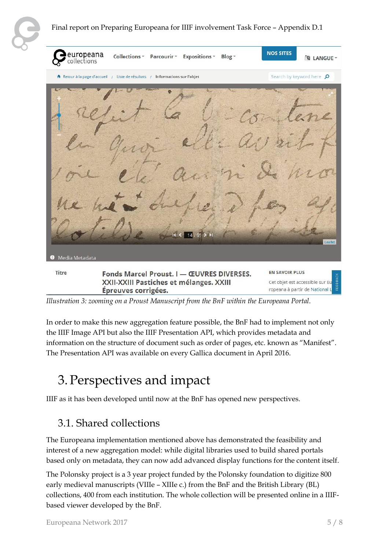#### Final report on Preparing Europeana for IIIF involvement Task Force – Appendix D.1

| europeana<br>collections | Collections * Parcourir * Expositions *<br>Blog -                                                           | <b>NOS SITES</b><br><b>A LANGUE</b>                                                    |
|--------------------------|-------------------------------------------------------------------------------------------------------------|----------------------------------------------------------------------------------------|
|                          | A Retour à la page d'accueil / Liste de résultats / Informations sur l'objet                                | Search by keyword here p                                                               |
| Media Metadata<br>o      | 14                                                                                                          | Leaflet                                                                                |
| <b>Titre</b>             | Fonds Marcel Proust. I - ŒUVRES DIVERSES.<br>XXII-XXIII Pastiches et mélanges. XXIII<br>Épreuves corrigées. | <b>EN SAVOIR PLUS</b><br>Cet objet est accessible sur Europeana à partir de National L |

*Illustration 3: zooming on a Proust Manuscript from the BnF within the Europeana Portal.*

In order to make this new aggregation feature possible, the BnF had to implement not only the IIIF Image API but also the IIIF Presentation API, which provides metadata and information on the structure of document such as order of pages, etc. known as "Manifest". The Presentation API was available on every Gallica document in April 2016.

## <span id="page-5-0"></span>3.Perspectives and impact

<span id="page-5-1"></span>IIIF as it has been developed until now at the BnF has opened new perspectives.

### 3.1. Shared collections

The Europeana implementation mentioned above has demonstrated the feasibility and interest of a new aggregation model: while digital libraries used to build shared portals based only on metadata, they can now add advanced display functions for the content itself.

The Polonsky project is a 3 year project funded by the Polonsky foundation to digitize 800 early medieval manuscripts (VIIIe – XIIIe c.) from the BnF and the British Library (BL) collections, 400 from each institution. The whole collection will be presented online in a IIIFbased viewer developed by the BnF.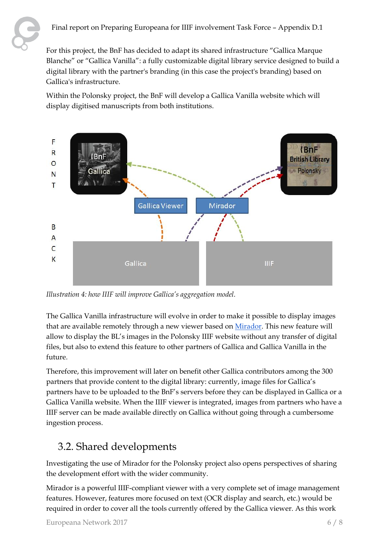For this project, the BnF has decided to adapt its shared infrastructure "Gallica Marque Blanche" or "Gallica Vanilla": a fully customizable digital library service designed to build a digital library with the partner's branding (in this case the project's branding) based on Gallica's infrastructure.

Within the Polonsky project, the BnF will develop a Gallica Vanilla website which will display digitised manuscripts from both institutions.



*Illustration 4: how IIIF will improve Gallica's aggregation model.*

The Gallica Vanilla infrastructure will evolve in order to make it possible to display images that are available remotely through a new viewer based o[n Mirador.](http://projectmirador.org/) This new feature will allow to display the BL's images in the Polonsky IIIF website without any transfer of digital files, but also to extend this feature to other partners of Gallica and Gallica Vanilla in the future.

Therefore, this improvement will later on benefit other Gallica contributors among the 300 partners that provide content to the digital library: currently, image files for Gallica's partners have to be uploaded to the BnF's servers before they can be displayed in Gallica or a Gallica Vanilla website. When the IIIF viewer is integrated, images from partners who have a IIIF server can be made available directly on Gallica without going through a cumbersome ingestion process.

## <span id="page-6-0"></span>3.2. Shared developments

Investigating the use of Mirador for the Polonsky project also opens perspectives of sharing the development effort with the wider community.

Mirador is a powerful IIIF-compliant viewer with a very complete set of image management features. However, features more focused on text (OCR display and search, etc.) would be required in order to cover all the tools currently offered by the Gallica viewer. As this work